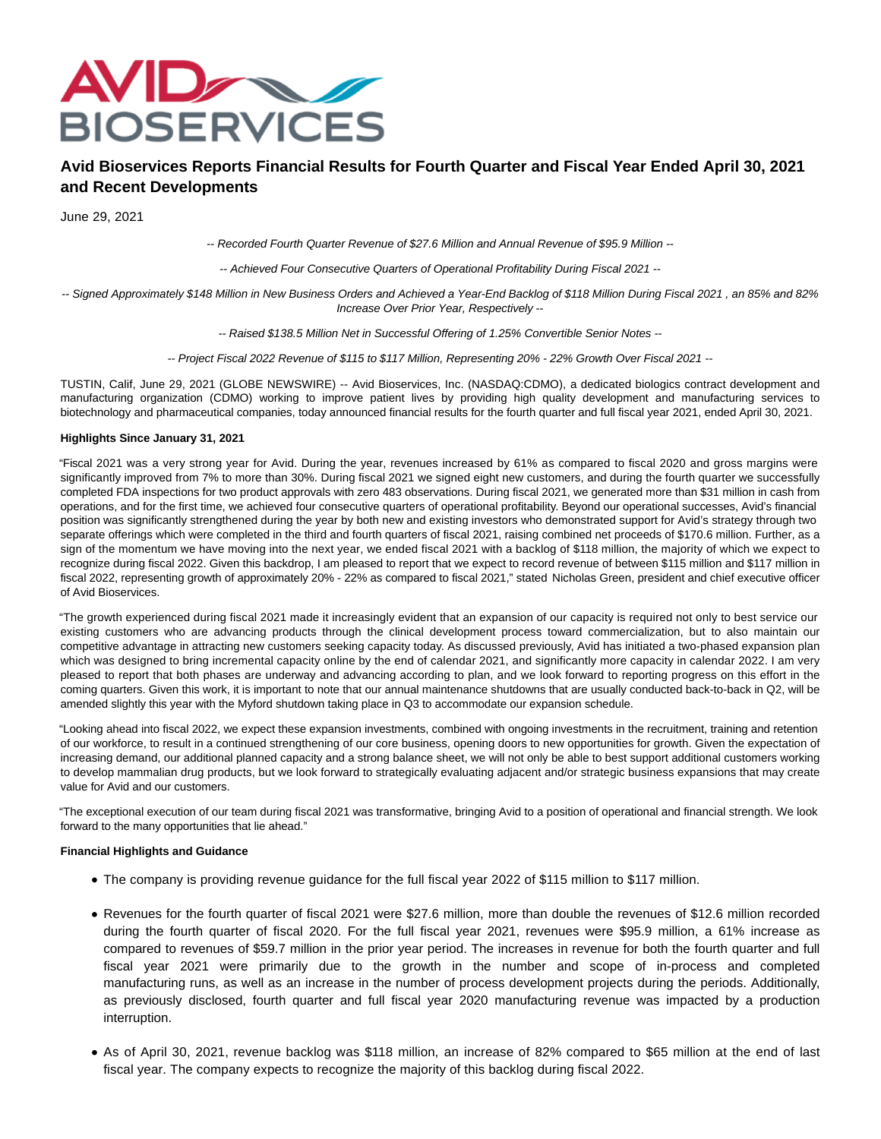

# **Avid Bioservices Reports Financial Results for Fourth Quarter and Fiscal Year Ended April 30, 2021 and Recent Developments**

June 29, 2021

-- Recorded Fourth Quarter Revenue of \$27.6 Million and Annual Revenue of \$95.9 Million --

-- Achieved Four Consecutive Quarters of Operational Profitability During Fiscal 2021 --

-- Signed Approximately \$148 Million in New Business Orders and Achieved a Year-End Backlog of \$118 Million During Fiscal 2021 , an 85% and 82% Increase Over Prior Year, Respectively --

-- Raised \$138.5 Million Net in Successful Offering of 1.25% Convertible Senior Notes --

-- Project Fiscal 2022 Revenue of \$115 to \$117 Million, Representing 20% - 22% Growth Over Fiscal 2021 --

TUSTIN, Calif, June 29, 2021 (GLOBE NEWSWIRE) -- Avid Bioservices, Inc. (NASDAQ:CDMO), a dedicated biologics contract development and manufacturing organization (CDMO) working to improve patient lives by providing high quality development and manufacturing services to biotechnology and pharmaceutical companies, today announced financial results for the fourth quarter and full fiscal year 2021, ended April 30, 2021.

### **Highlights Since January 31, 2021**

"Fiscal 2021 was a very strong year for Avid. During the year, revenues increased by 61% as compared to fiscal 2020 and gross margins were significantly improved from 7% to more than 30%. During fiscal 2021 we signed eight new customers, and during the fourth quarter we successfully completed FDA inspections for two product approvals with zero 483 observations. During fiscal 2021, we generated more than \$31 million in cash from operations, and for the first time, we achieved four consecutive quarters of operational profitability. Beyond our operational successes, Avid's financial position was significantly strengthened during the year by both new and existing investors who demonstrated support for Avid's strategy through two separate offerings which were completed in the third and fourth quarters of fiscal 2021, raising combined net proceeds of \$170.6 million. Further, as a sign of the momentum we have moving into the next year, we ended fiscal 2021 with a backlog of \$118 million, the majority of which we expect to recognize during fiscal 2022. Given this backdrop, I am pleased to report that we expect to record revenue of between \$115 million and \$117 million in fiscal 2022, representing growth of approximately 20% - 22% as compared to fiscal 2021," stated Nicholas Green, president and chief executive officer of Avid Bioservices.

"The growth experienced during fiscal 2021 made it increasingly evident that an expansion of our capacity is required not only to best service our existing customers who are advancing products through the clinical development process toward commercialization, but to also maintain our competitive advantage in attracting new customers seeking capacity today. As discussed previously, Avid has initiated a two-phased expansion plan which was designed to bring incremental capacity online by the end of calendar 2021, and significantly more capacity in calendar 2022. I am very pleased to report that both phases are underway and advancing according to plan, and we look forward to reporting progress on this effort in the coming quarters. Given this work, it is important to note that our annual maintenance shutdowns that are usually conducted back-to-back in Q2, will be amended slightly this year with the Myford shutdown taking place in Q3 to accommodate our expansion schedule.

"Looking ahead into fiscal 2022, we expect these expansion investments, combined with ongoing investments in the recruitment, training and retention of our workforce, to result in a continued strengthening of our core business, opening doors to new opportunities for growth. Given the expectation of increasing demand, our additional planned capacity and a strong balance sheet, we will not only be able to best support additional customers working to develop mammalian drug products, but we look forward to strategically evaluating adjacent and/or strategic business expansions that may create value for Avid and our customers.

"The exceptional execution of our team during fiscal 2021 was transformative, bringing Avid to a position of operational and financial strength. We look forward to the many opportunities that lie ahead."

#### **Financial Highlights and Guidance**

- The company is providing revenue guidance for the full fiscal year 2022 of \$115 million to \$117 million.
- Revenues for the fourth quarter of fiscal 2021 were \$27.6 million, more than double the revenues of \$12.6 million recorded during the fourth quarter of fiscal 2020. For the full fiscal year 2021, revenues were \$95.9 million, a 61% increase as compared to revenues of \$59.7 million in the prior year period. The increases in revenue for both the fourth quarter and full fiscal year 2021 were primarily due to the growth in the number and scope of in-process and completed manufacturing runs, as well as an increase in the number of process development projects during the periods. Additionally, as previously disclosed, fourth quarter and full fiscal year 2020 manufacturing revenue was impacted by a production interruption.
- As of April 30, 2021, revenue backlog was \$118 million, an increase of 82% compared to \$65 million at the end of last fiscal year. The company expects to recognize the majority of this backlog during fiscal 2022.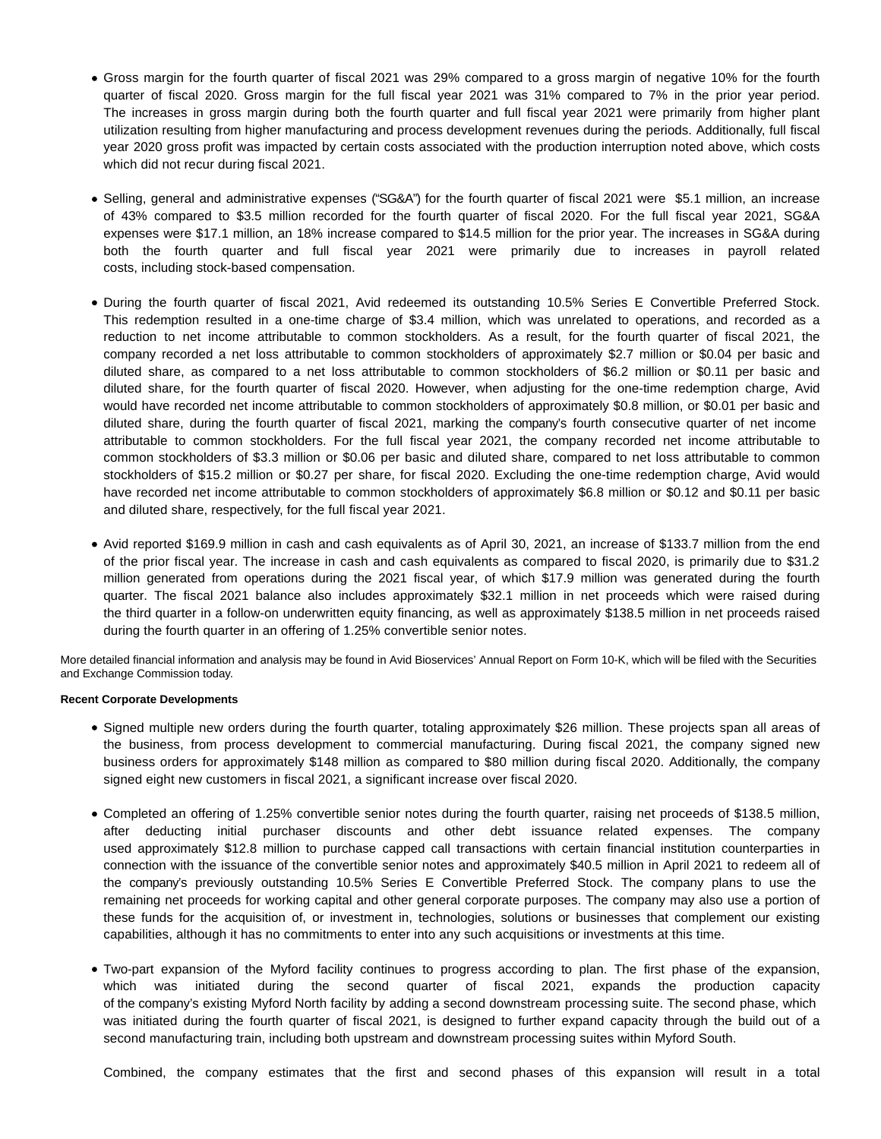- Gross margin for the fourth quarter of fiscal 2021 was 29% compared to a gross margin of negative 10% for the fourth quarter of fiscal 2020. Gross margin for the full fiscal year 2021 was 31% compared to 7% in the prior year period. The increases in gross margin during both the fourth quarter and full fiscal year 2021 were primarily from higher plant utilization resulting from higher manufacturing and process development revenues during the periods. Additionally, full fiscal year 2020 gross profit was impacted by certain costs associated with the production interruption noted above, which costs which did not recur during fiscal 2021.
- Selling, general and administrative expenses ("SG&A") for the fourth quarter of fiscal 2021 were \$5.1 million, an increase of 43% compared to \$3.5 million recorded for the fourth quarter of fiscal 2020. For the full fiscal year 2021, SG&A expenses were \$17.1 million, an 18% increase compared to \$14.5 million for the prior year. The increases in SG&A during both the fourth quarter and full fiscal year 2021 were primarily due to increases in payroll related costs, including stock-based compensation.
- During the fourth quarter of fiscal 2021, Avid redeemed its outstanding 10.5% Series E Convertible Preferred Stock. This redemption resulted in a one-time charge of \$3.4 million, which was unrelated to operations, and recorded as a reduction to net income attributable to common stockholders. As a result, for the fourth quarter of fiscal 2021, the company recorded a net loss attributable to common stockholders of approximately \$2.7 million or \$0.04 per basic and diluted share, as compared to a net loss attributable to common stockholders of \$6.2 million or \$0.11 per basic and diluted share, for the fourth quarter of fiscal 2020. However, when adjusting for the one-time redemption charge, Avid would have recorded net income attributable to common stockholders of approximately \$0.8 million, or \$0.01 per basic and diluted share, during the fourth quarter of fiscal 2021, marking the company's fourth consecutive quarter of net income attributable to common stockholders. For the full fiscal year 2021, the company recorded net income attributable to common stockholders of \$3.3 million or \$0.06 per basic and diluted share, compared to net loss attributable to common stockholders of \$15.2 million or \$0.27 per share, for fiscal 2020. Excluding the one-time redemption charge, Avid would have recorded net income attributable to common stockholders of approximately \$6.8 million or \$0.12 and \$0.11 per basic and diluted share, respectively, for the full fiscal year 2021.
- Avid reported \$169.9 million in cash and cash equivalents as of April 30, 2021, an increase of \$133.7 million from the end of the prior fiscal year. The increase in cash and cash equivalents as compared to fiscal 2020, is primarily due to \$31.2 million generated from operations during the 2021 fiscal year, of which \$17.9 million was generated during the fourth quarter. The fiscal 2021 balance also includes approximately \$32.1 million in net proceeds which were raised during the third quarter in a follow-on underwritten equity financing, as well as approximately \$138.5 million in net proceeds raised during the fourth quarter in an offering of 1.25% convertible senior notes.

More detailed financial information and analysis may be found in Avid Bioservices' Annual Report on Form 10-K, which will be filed with the Securities and Exchange Commission today.

### **Recent Corporate Developments**

- Signed multiple new orders during the fourth quarter, totaling approximately \$26 million. These projects span all areas of the business, from process development to commercial manufacturing. During fiscal 2021, the company signed new business orders for approximately \$148 million as compared to \$80 million during fiscal 2020. Additionally, the company signed eight new customers in fiscal 2021, a significant increase over fiscal 2020.
- Completed an offering of 1.25% convertible senior notes during the fourth quarter, raising net proceeds of \$138.5 million, after deducting initial purchaser discounts and other debt issuance related expenses. The company used approximately \$12.8 million to purchase capped call transactions with certain financial institution counterparties in connection with the issuance of the convertible senior notes and approximately \$40.5 million in April 2021 to redeem all of the company's previously outstanding 10.5% Series E Convertible Preferred Stock. The company plans to use the remaining net proceeds for working capital and other general corporate purposes. The company may also use a portion of these funds for the acquisition of, or investment in, technologies, solutions or businesses that complement our existing capabilities, although it has no commitments to enter into any such acquisitions or investments at this time.
- Two-part expansion of the Myford facility continues to progress according to plan. The first phase of the expansion, which was initiated during the second quarter of fiscal 2021, expands the production capacity of the company's existing Myford North facility by adding a second downstream processing suite. The second phase, which was initiated during the fourth quarter of fiscal 2021, is designed to further expand capacity through the build out of a second manufacturing train, including both upstream and downstream processing suites within Myford South.

Combined, the company estimates that the first and second phases of this expansion will result in a total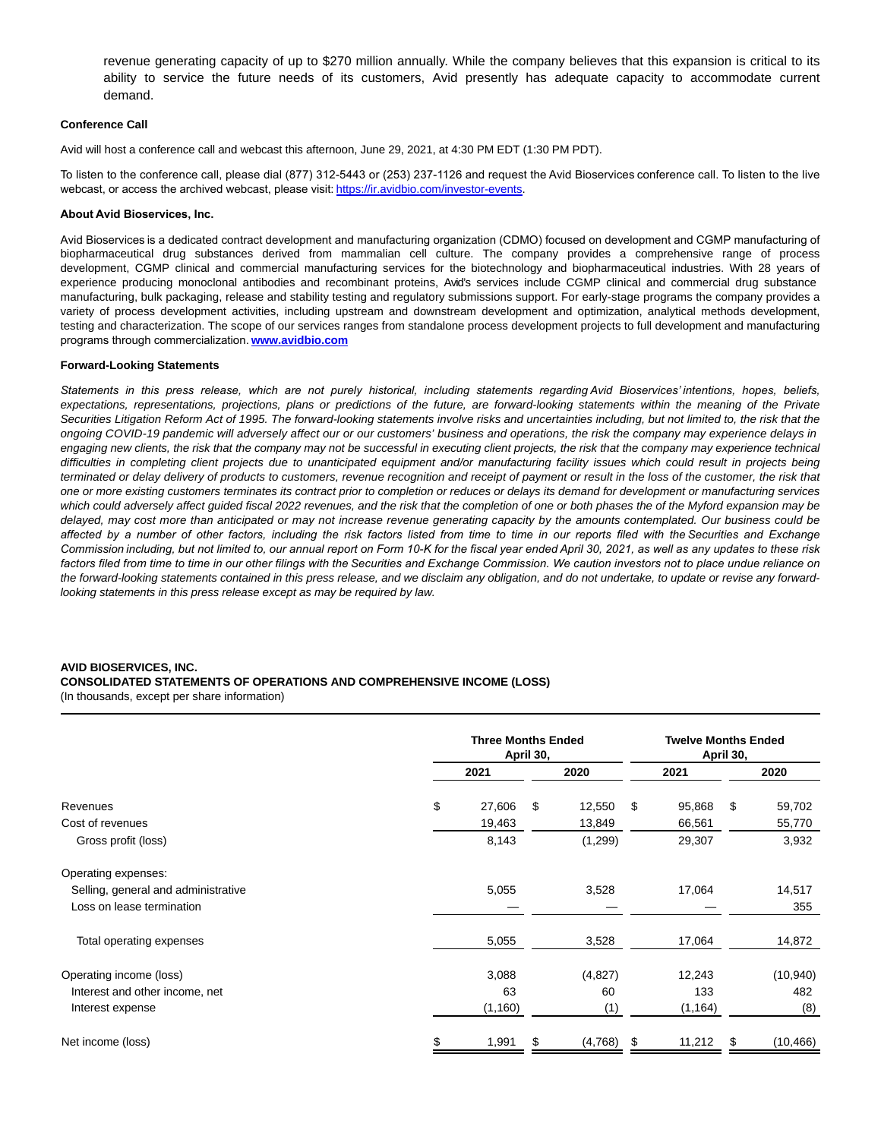revenue generating capacity of up to \$270 million annually. While the company believes that this expansion is critical to its ability to service the future needs of its customers, Avid presently has adequate capacity to accommodate current demand.

#### **Conference Call**

Avid will host a conference call and webcast this afternoon, June 29, 2021, at 4:30 PM EDT (1:30 PM PDT).

To listen to the conference call, please dial (877) 312-5443 or (253) 237-1126 and request the Avid Bioservices conference call. To listen to the live webcast, or access the archived webcast, please visit: https://ir.avidbio.com/investor-events.

#### **About Avid Bioservices, Inc.**

Avid Bioservices is a dedicated contract development and manufacturing organization (CDMO) focused on development and CGMP manufacturing of biopharmaceutical drug substances derived from mammalian cell culture. The company provides a comprehensive range of process development, CGMP clinical and commercial manufacturing services for the biotechnology and biopharmaceutical industries. With 28 years of experience producing monoclonal antibodies and recombinant proteins, Avid's services include CGMP clinical and commercial drug substance manufacturing, bulk packaging, release and stability testing and regulatory submissions support. For early-stage programs the company provides a variety of process development activities, including upstream and downstream development and optimization, analytical methods development, testing and characterization. The scope of our services ranges from standalone process development projects to full development and manufacturing programs through commercialization. **[www.avidbio.com](https://www.globenewswire.com/Tracker?data=wDIn4HQHw5YHAEzBKHee5RYDr4oBsdsr4MHte49RzxxuVmWv-MJIwS1-zTwLGTbPBbfWkueQKvy-omUz3qCnwE5OSvgdO0eUSeoBuyedOrCuQ-gB9MZE26WYeALQam7JPv7tySqq4QplUhcwsH__3OqmPXcglmiHtI2tqiRrlw8q7IVo9IzjhzoS-Gy1XXZhBdQZbl2V_BHf4CXULnt-_Q-w4EdgMAx9Z7-WtfLJTdw-VjSIUOP_bNc0j_N2vTUnY0hrZb0S_guKsLFyGtwbtk4uUrvQX_K16eVaFueddOC2wJQ_EATOPJigRZpaGrrF)**

#### **Forward-Looking Statements**

*Statements in this press release, which are not purely historical, including statements regarding Avid Bioservices' intentions, hopes, beliefs,* expectations, representations, projections, plans or predictions of the future, are forward-looking statements within the meaning of the Private Securities Litigation Reform Act of 1995. The forward-looking statements involve risks and uncertainties including, but not limited to, the risk that the ongoing COVID-19 pandemic will adversely affect our or our customers' business and operations, the risk the company may experience delays in engaging new clients, the risk that the company may not be successful in executing client projects, the risk that the company may experience technical difficulties in completing client projects due to unanticipated equipment and/or manufacturing facility issues which could result in projects being terminated or delay delivery of products to customers, revenue recognition and receipt of payment or result in the loss of the customer, the risk that one or more existing customers terminates its contract prior to completion or reduces or delays its demand for development or manufacturing services which could adversely affect guided fiscal 2022 revenues, and the risk that the completion of one or both phases the of the Myford expansion may be delayed, may cost more than anticipated or may not increase revenue generating capacity by the amounts contemplated. Our business could be *affected by a number of other factors, including the risk factors listed from time to time in our reports filed with the Securities and Exchange Commission including, but not limited to, our annual report on Form 10-K for the fiscal year ended April 30, 2021, as well as any updates to these risk factors filed from time to time in our other filings with the Securities and Exchange Commission. We caution investors not to place undue reliance on* the forward-looking statements contained in this press release, and we disclaim any obligation, and do not undertake, to update or revise any forwardlooking statements in this press release except as may be required by law.

#### **AVID BIOSERVICES, INC.**

**CONSOLIDATED STATEMENTS OF OPERATIONS AND COMPREHENSIVE INCOME (LOSS)**

(In thousands, except per share information)

|                                     |      | <b>Three Months Ended</b><br>April 30, |      |          | <b>Twelve Months Ended</b><br>April 30, |          |      |           |
|-------------------------------------|------|----------------------------------------|------|----------|-----------------------------------------|----------|------|-----------|
|                                     | 2021 |                                        | 2020 |          | 2021                                    |          | 2020 |           |
| Revenues                            | \$   | 27,606                                 | \$   | 12,550   | \$                                      | 95,868   | \$   | 59,702    |
| Cost of revenues                    |      | 19,463                                 |      | 13,849   |                                         | 66,561   |      | 55,770    |
| Gross profit (loss)                 |      | 8,143                                  |      | (1,299)  |                                         | 29,307   |      | 3,932     |
| Operating expenses:                 |      |                                        |      |          |                                         |          |      |           |
| Selling, general and administrative |      | 5,055                                  |      | 3,528    |                                         | 17,064   |      | 14,517    |
| Loss on lease termination           |      |                                        |      |          |                                         |          |      | 355       |
| Total operating expenses            |      | 5,055                                  |      | 3,528    |                                         | 17,064   |      | 14,872    |
| Operating income (loss)             |      | 3,088                                  |      | (4,827)  |                                         | 12,243   |      | (10, 940) |
| Interest and other income, net      |      | 63                                     |      | 60       |                                         | 133      |      | 482       |
| Interest expense                    |      | (1, 160)                               |      | (1)      |                                         | (1, 164) |      | (8)       |
| Net income (loss)                   |      | 1,991                                  | æ.   | (4, 768) | \$                                      | 11,212   | S    | (10, 466) |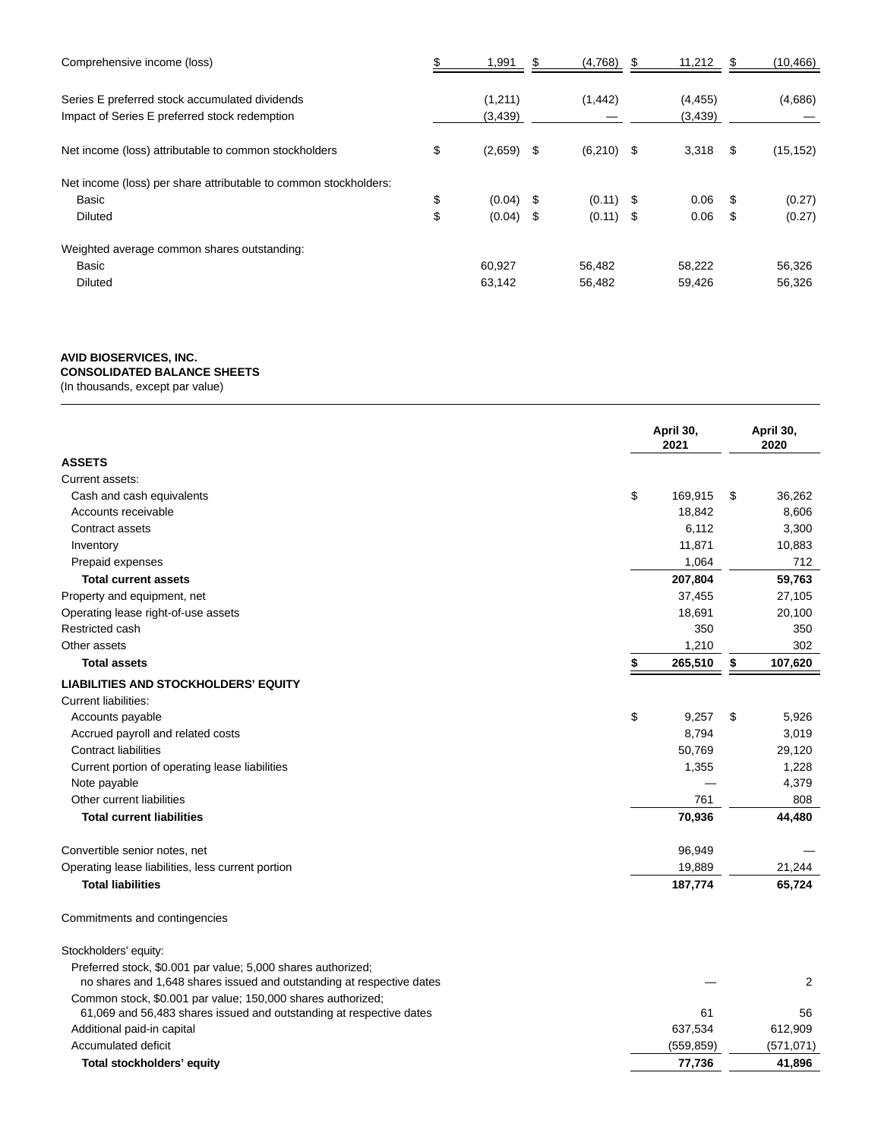| Comprehensive income (loss)                                                                     | 1,991               | (4,768)     | \$   | 11,212              |    | (10, 466) |
|-------------------------------------------------------------------------------------------------|---------------------|-------------|------|---------------------|----|-----------|
| Series E preferred stock accumulated dividends<br>Impact of Series E preferred stock redemption | (1,211)<br>(3, 439) | (1, 442)    |      | (4, 455)<br>(3,439) |    | (4,686)   |
| Net income (loss) attributable to common stockholders                                           | \$<br>$(2,659)$ \$  | (6,210)     | - \$ | 3,318               | \$ | (15, 152) |
| Net income (loss) per share attributable to common stockholders:                                |                     |             |      |                     |    |           |
| Basic                                                                                           | \$<br>$(0.04)$ \$   | $(0.11)$ \$ |      | 0.06                | S  | (0.27)    |
| <b>Diluted</b>                                                                                  | \$<br>$(0.04)$ \$   | $(0.11)$ \$ |      | 0.06                | S  | (0.27)    |
| Weighted average common shares outstanding:                                                     |                     |             |      |                     |    |           |
| Basic                                                                                           | 60,927              | 56,482      |      | 58,222              |    | 56,326    |
| <b>Diluted</b>                                                                                  | 63,142              | 56,482      |      | 59,426              |    | 56,326    |

# **AVID BIOSERVICES, INC.**

**CONSOLIDATED BALANCE SHEETS**

(In thousands, except par value)

|                                                                       | April 30,<br>2021 | April 30,<br>2020 |
|-----------------------------------------------------------------------|-------------------|-------------------|
| <b>ASSETS</b>                                                         |                   |                   |
| Current assets:                                                       |                   |                   |
| Cash and cash equivalents                                             | \$<br>169,915     | \$<br>36,262      |
| Accounts receivable                                                   | 18,842            | 8,606             |
| Contract assets                                                       | 6,112             | 3,300             |
| Inventory                                                             | 11,871            | 10,883            |
| Prepaid expenses                                                      | 1,064             | 712               |
| <b>Total current assets</b>                                           | 207,804           | 59,763            |
| Property and equipment, net                                           | 37,455            | 27,105            |
| Operating lease right-of-use assets                                   | 18,691            | 20,100            |
| Restricted cash                                                       | 350               | 350               |
| Other assets                                                          | 1,210             | 302               |
| <b>Total assets</b>                                                   | \$<br>265,510     | \$<br>107,620     |
| <b>LIABILITIES AND STOCKHOLDERS' EQUITY</b>                           |                   |                   |
| <b>Current liabilities:</b>                                           |                   |                   |
| Accounts payable                                                      | \$<br>9,257       | \$<br>5,926       |
| Accrued payroll and related costs                                     | 8,794             | 3,019             |
| <b>Contract liabilities</b>                                           | 50,769            | 29,120            |
| Current portion of operating lease liabilities                        | 1,355             | 1,228             |
| Note payable                                                          |                   | 4,379             |
| Other current liabilities                                             | 761               | 808               |
| <b>Total current liabilities</b>                                      | 70,936            | 44,480            |
| Convertible senior notes, net                                         | 96,949            |                   |
| Operating lease liabilities, less current portion                     | 19,889            | 21,244            |
| <b>Total liabilities</b>                                              | 187,774           | 65,724            |
| Commitments and contingencies                                         |                   |                   |
| Stockholders' equity:                                                 |                   |                   |
| Preferred stock, \$0.001 par value; 5,000 shares authorized;          |                   |                   |
| no shares and 1,648 shares issued and outstanding at respective dates |                   | 2                 |
| Common stock, \$0.001 par value; 150,000 shares authorized;           |                   |                   |
| 61,069 and 56,483 shares issued and outstanding at respective dates   | 61                | 56                |
| Additional paid-in capital                                            | 637,534           | 612,909           |
| Accumulated deficit                                                   | (559, 859)        | (571, 071)        |
| Total stockholders' equity                                            | 77,736            | 41,896            |